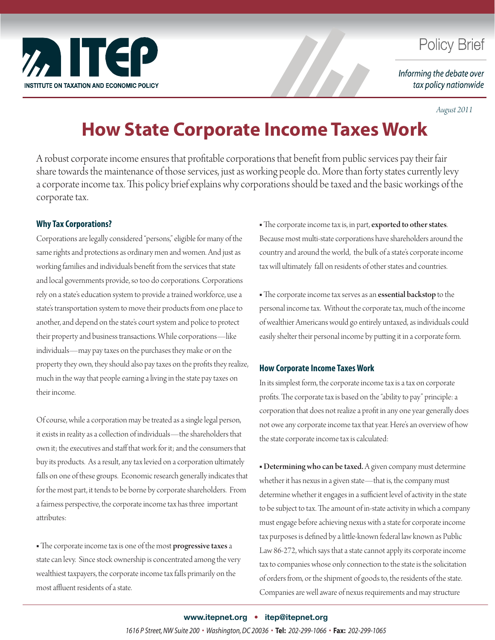

# **Policy Brief**

Informing the debate over tax policy nationwide

*August 2011*

# **How State Corporate Income Taxes Work**

A robust corporate income ensures that profitable corporations that benefit from public services pay their fair share towards the maintenance of those services, just as working people do.. More than forty states currently levy a corporate income tax. This policy brief explains why corporations should be taxed and the basic workings of the corporate tax.

## **Why Tax Corporations?**

Corporations are legally considered "persons," eligible for many of the same rights and protections as ordinary men and women. And just as working families and individuals benefit from the services that state and local governments provide, so too do corporations. Corporations rely on a state's education system to provide a trained workforce, use a state's transportation system to move their products from one place to another, and depend on the state's court system and police to protect their property and business transactions. While corporations—like individuals—may pay taxes on the purchases they make or on the property they own, they should also pay taxes on the profits they realize, much in the way that people earning a living in the state pay taxes on their income.

Of course, while a corporation may be treated as a single legal person, it exists in reality as a collection of individuals—the shareholders that own it; the executives and staff that work for it; and the consumers that buy its products. As a result, any tax levied on a corporation ultimately falls on one of these groups. Economic research generally indicates that for the most part, it tends to be borne by corporate shareholders. From a fairness perspective, the corporate income tax has three important attributes:

• The corporate income tax is one of the most progressive taxes a state can levy. Since stock ownership is concentrated among the very wealthiest taxpayers, the corporate income tax falls primarily on the most affluent residents of a state.

• The corporate income tax is, in part, exported to other states. Because most multi-state corporations have shareholders around the country and around the world, the bulk of a state's corporate income tax will ultimately fall on residents of other states and countries.

• The corporate income tax serves as an essential backstop to the personal income tax. Without the corporate tax, much of the income of wealthier Americans would go entirely untaxed, as individuals could easily shelter their personal income by putting it in a corporate form.

### **How Corporate Income Taxes Work**

In its simplest form, the corporate income tax is a tax on corporate profits. The corporate tax is based on the "ability to pay" principle: a corporation that does not realize a profit in any one year generally does not owe any corporate income tax that year. Here's an overview of how the state corporate income tax is calculated:

■ Determining who can be taxed. A given company must determine whether it has nexus in a given state—that is, the company must determine whether it engages in a sufficient level of activity in the state to be subject to tax. The amount of in-state activity in which a company must engage before achieving nexus with a state for corporate income tax purposes is defined by a little-known federal law known as Public Law 86-272, which says that a state cannot apply its corporate income tax to companies whose only connection to the state is the solicitation of orders from, or the shipment of goods to, the residents of the state. Companies are well aware of nexus requirements and may structure